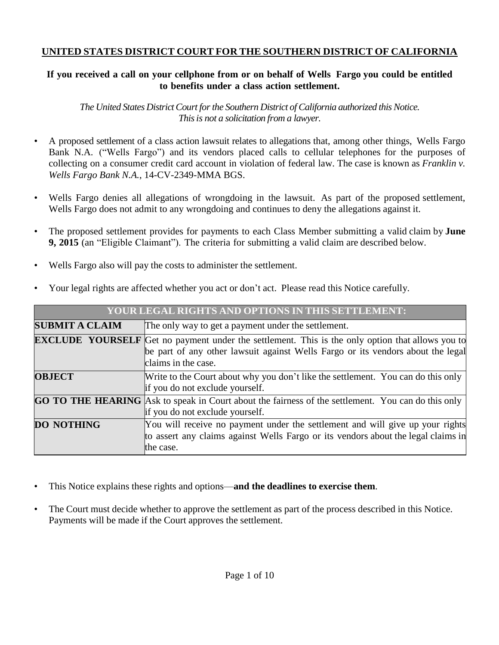# **UNITED STATES DISTRICT COURT FOR THE SOUTHERN DISTRICT OF CALIFORNIA**

# If you received a call on your cellphone from or on behalf of Wells Fargo you could be entitled **to benefits under a class action settlement.**

*The United States DistrictCourt forthe Southern District of California authorized this Notice. Thisis not a solicitation from a lawyer.*

- A proposed settlement of a class action lawsuit relates to allegations that, among other things, Wells Fargo Bank N.A. ("Wells Fargo") and its vendors placed calls to cellular telephones for the purposes of collecting on a consumer credit card account in violation of federal law. The case is known as *Franklin v. Wells Fargo Bank N.A.*, 14-CV-2349-MMA BGS.
- Wells Fargo denies all allegations of wrongdoing in the lawsuit. As part of the proposed settlement, Wells Fargo does not admit to any wrongdoing and continues to deny the allegations against it.
- The proposed settlement provides for payments to each Class Member submitting a valid claim by **June 9, 2015** (an "Eligible Claimant"). The criteria for submitting a valid claim are described below.
- Wells Fargo also will pay the costs to administer the settlement.

| YOUR LEGAL RIGHTS AND OPTIONS IN THIS SETTLEMENT: |                                                                                                                                                                                                                   |  |  |  |
|---------------------------------------------------|-------------------------------------------------------------------------------------------------------------------------------------------------------------------------------------------------------------------|--|--|--|
| <b>SUBMIT A CLAIM</b>                             | The only way to get a payment under the settlement.                                                                                                                                                               |  |  |  |
|                                                   | <b>EXCLUDE YOURSELF</b> Get no payment under the settlement. This is the only option that allows you to<br>be part of any other lawsuit against Wells Fargo or its vendors about the legal<br>claims in the case. |  |  |  |
| <b>OBJECT</b>                                     | Write to the Court about why you don't like the settlement. You can do this only<br>if you do not exclude yourself.                                                                                               |  |  |  |
|                                                   | <b>GO TO THE HEARING</b> Ask to speak in Court about the fairness of the settlement. You can do this only<br>if you do not exclude yourself.                                                                      |  |  |  |
| <b>DO NOTHING</b>                                 | You will receive no payment under the settlement and will give up your rights<br>to assert any claims against Wells Fargo or its vendors about the legal claims in<br>the case.                                   |  |  |  |

• Your legal rights are affected whether you act or don't act. Please read this Notice carefully.

- This Notice explains these rights and options—**and the deadlines to exercise them**.
- The Court must decide whether to approve the settlement as part of the process described in this Notice. Payments will be made if the Court approves the settlement.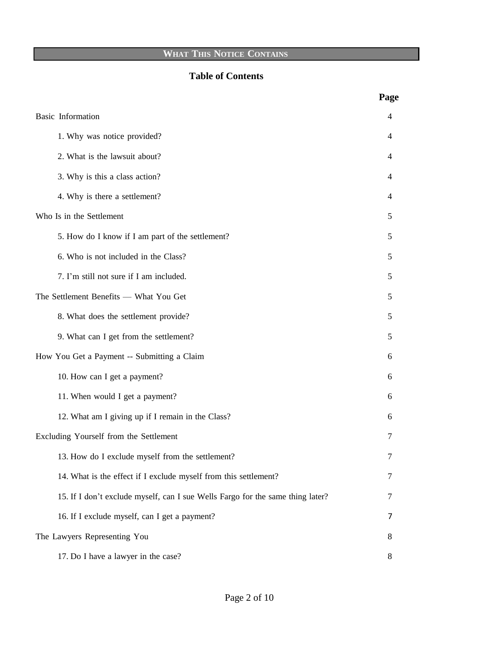# **WHAT THIS NOTICE CONTAINS**

# **Table of Contents**

|                                                                                | Page |  |
|--------------------------------------------------------------------------------|------|--|
| <b>Basic</b> Information                                                       |      |  |
| 1. Why was notice provided?                                                    | 4    |  |
| 2. What is the lawsuit about?                                                  | 4    |  |
| 3. Why is this a class action?                                                 | 4    |  |
| 4. Why is there a settlement?                                                  | 4    |  |
| Who Is in the Settlement                                                       |      |  |
| 5. How do I know if I am part of the settlement?                               | 5    |  |
| 6. Who is not included in the Class?                                           | 5    |  |
| 7. I'm still not sure if I am included.                                        | 5    |  |
| The Settlement Benefits - What You Get                                         |      |  |
| 8. What does the settlement provide?                                           | 5    |  |
| 9. What can I get from the settlement?                                         | 5    |  |
| How You Get a Payment -- Submitting a Claim                                    |      |  |
| 10. How can I get a payment?                                                   | 6    |  |
| 11. When would I get a payment?                                                | 6    |  |
| 12. What am I giving up if I remain in the Class?                              | 6    |  |
| Excluding Yourself from the Settlement                                         |      |  |
| 13. How do I exclude myself from the settlement?                               | 7    |  |
| 14. What is the effect if I exclude myself from this settlement?               | 7    |  |
| 15. If I don't exclude myself, can I sue Wells Fargo for the same thing later? | 7    |  |
| 16. If I exclude myself, can I get a payment?                                  | 7    |  |
| The Lawyers Representing You                                                   |      |  |
| 17. Do I have a lawyer in the case?                                            | 8    |  |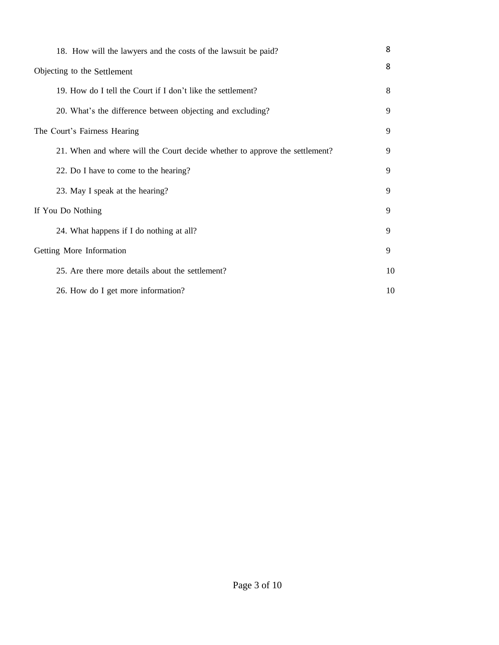|                              | 18. How will the lawyers and the costs of the lawsuit be paid?              | 8  |  |
|------------------------------|-----------------------------------------------------------------------------|----|--|
|                              | Objecting to the Settlement                                                 |    |  |
|                              | 19. How do I tell the Court if I don't like the settlement?                 | 8  |  |
|                              | 20. What's the difference between objecting and excluding?                  | 9  |  |
| The Court's Fairness Hearing |                                                                             |    |  |
|                              | 21. When and where will the Court decide whether to approve the settlement? | 9  |  |
|                              | 22. Do I have to come to the hearing?                                       | 9  |  |
|                              | 23. May I speak at the hearing?                                             | 9  |  |
| If You Do Nothing            |                                                                             |    |  |
|                              | 24. What happens if I do nothing at all?                                    | 9  |  |
|                              | Getting More Information                                                    |    |  |
|                              | 25. Are there more details about the settlement?                            | 10 |  |
|                              | 26. How do I get more information?                                          | 10 |  |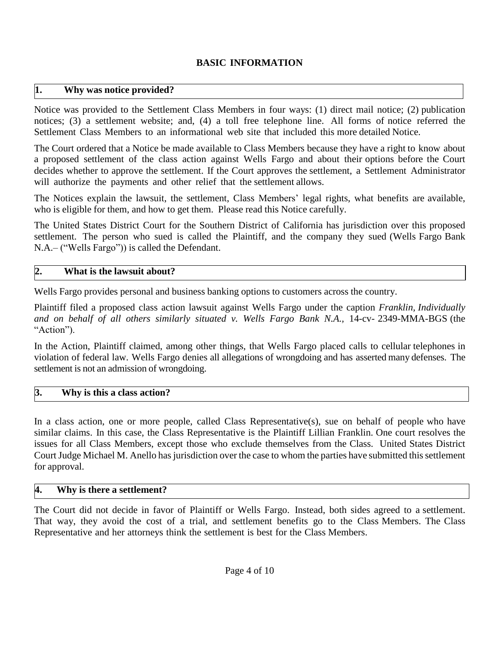# **BASIC INFORMATION**

## **1. Why was notice provided?**

Notice was provided to the Settlement Class Members in four ways: (1) direct mail notice; (2) publication notices; (3) a settlement website; and, (4) a toll free telephone line. All forms of notice referred the Settlement Class Members to an informational web site that included this more detailed Notice.

The Court ordered that a Notice be made available to Class Members because they have a right to know about a proposed settlement of the class action against Wells Fargo and about their options before the Court decides whether to approve the settlement. If the Court approves the settlement, a Settlement Administrator will authorize the payments and other relief that the settlement allows.

The Notices explain the lawsuit, the settlement, Class Members' legal rights, what benefits are available, who is eligible for them, and how to get them. Please read this Notice carefully.

The United States District Court for the Southern District of California has jurisdiction over this proposed settlement. The person who sued is called the Plaintiff, and the company they sued (Wells Fargo Bank N.A.– ("Wells Fargo")) is called the Defendant.

## **2. What is the lawsuit about?**

Wells Fargo provides personal and business banking options to customers across the country.

Plaintiff filed a proposed class action lawsuit against Wells Fargo under the caption *Franklin, Individually and on behalf of all others similarly situated v. Wells Fargo Bank N.A.,* 14-cv- 2349-MMA-BGS (the "Action").

In the Action, Plaintiff claimed, among other things, that Wells Fargo placed calls to cellular telephones in violation of federal law. Wells Fargo denies all allegations of wrongdoing and has asserted many defenses. The settlement is not an admission of wrongdoing.

# **3. Why is this a class action?**

In a class action, one or more people, called Class Representative(s), sue on behalf of people who have similar claims. In this case, the Class Representative is the Plaintiff Lillian Franklin. One court resolves the issues for all Class Members, except those who exclude themselves from the Class. United States District Court Judge Michael M. Anello has jurisdiction over the case to whom the parties have submitted this settlement for approval.

## **4. Why is there a settlement?**

The Court did not decide in favor of Plaintiff or Wells Fargo. Instead, both sides agreed to a settlement. That way, they avoid the cost of a trial, and settlement benefits go to the Class Members. The Class Representative and her attorneys think the settlement is best for the Class Members.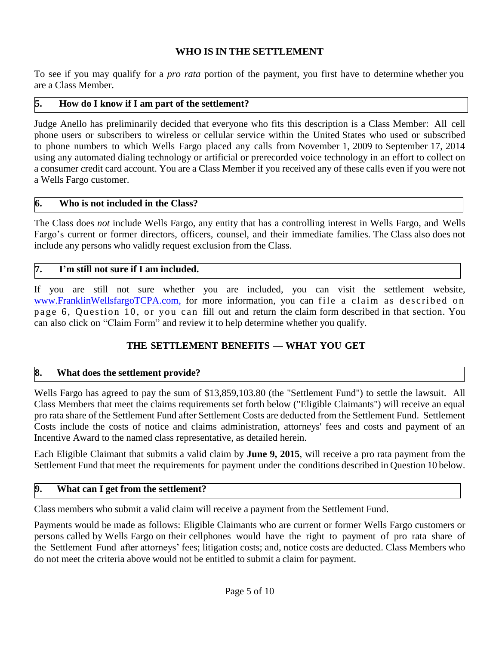# **WHO IS IN THE SETTLEMENT**

To see if you may qualify for a *pro rata* portion of the payment, you first have to determine whether you are a Class Member.

# **5. How do I know if I am part of the settlement?**

Judge Anello has preliminarily decided that everyone who fits this description is a Class Member: All cell phone users or subscribers to wireless or cellular service within the United States who used or subscribed to phone numbers to which Wells Fargo placed any calls from November 1, 2009 to September 17, 2014 using any automated dialing technology or artificial or prerecorded voice technology in an effort to collect on a consumer credit card account. You are a Class Member if you received any of these calls even if you were not a Wells Fargo customer.

# **6. Who is not included in the Class?**

The Class does *not* include Wells Fargo, any entity that has a controlling interest in Wells Fargo, and Wells Fargo's current or former directors, officers, counsel, and their immediate families. The Class also does not include any persons who validly request exclusion from the Class.

# **7. I'm still not sure if I am included.**

If you are still not sure whether you are included, you can visit the settlement website, [www.FranklinWellsfargoTCPA.com,](http://www.franklinwellsfargotcpa.com,/) for more information, you can file a claim as described on page 6, Question 10, or you can fill out and return the claim form described in that section. You can also click on "Claim Form" and review it to help determine whether you qualify.

# **THE SETTLEMENT BENEFITS — WHAT YOU GET**

## **8. What does the settlement provide?**

Wells Fargo has agreed to pay the sum of \$13,859,103.80 (the "Settlement Fund") to settle the lawsuit. All Class Members that meet the claims requirements set forth below ("Eligible Claimants") will receive an equal pro rata share of the Settlement Fund after Settlement Costs are deducted from the Settlement Fund. Settlement Costs include the costs of notice and claims administration, attorneys' fees and costs and payment of an Incentive Award to the named class representative, as detailed herein.

Each Eligible Claimant that submits a valid claim by **June 9, 2015**, will receive a pro rata payment from the Settlement Fund that meet the requirements for payment under the conditions described in Question 10 below.

## **9. What can I get from the settlement?**

Class members who submit a valid claim will receive a payment from the Settlement Fund.

Payments would be made as follows: Eligible Claimants who are current or former Wells Fargo customers or persons called by Wells Fargo on their cellphones would have the right to payment of pro rata share of the Settlement Fund after attorneys' fees; litigation costs; and, notice costs are deducted. Class Members who do not meet the criteria above would not be entitled to submit a claim for payment.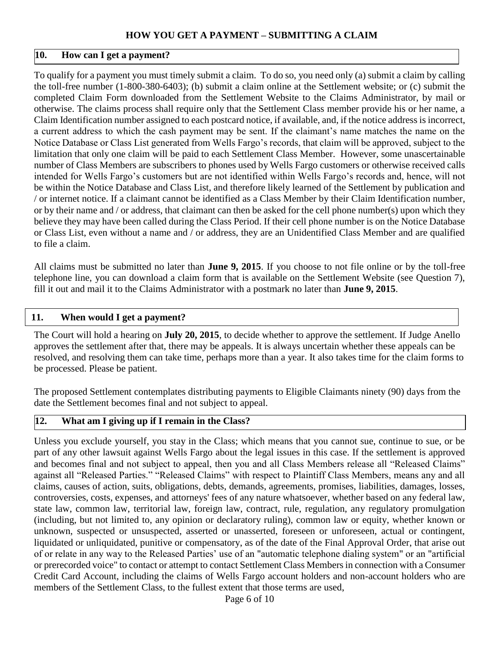## **HOW YOU GET A PAYMENT – SUBMITTING A CLAIM**

#### **10. How can I get a payment?**

To qualify for a payment you must timely submit a claim. To do so, you need only (a) submit a claim by calling the toll-free number (1-800-380-6403); (b) submit a claim online at the Settlement website; or (c) submit the completed Claim Form downloaded from the Settlement Website to the Claims Administrator, by mail or otherwise. The claims process shall require only that the Settlement Class member provide his or her name, a Claim Identification number assigned to each postcard notice, if available, and, if the notice address is incorrect, a current address to which the cash payment may be sent. If the claimant's name matches the name on the Notice Database or Class List generated from Wells Fargo's records, that claim will be approved, subject to the limitation that only one claim will be paid to each Settlement Class Member. However, some unascertainable number of Class Members are subscribers to phones used by Wells Fargo customers or otherwise received calls intended for Wells Fargo's customers but are not identified within Wells Fargo's records and, hence, will not be within the Notice Database and Class List, and therefore likely learned of the Settlement by publication and / or internet notice. If a claimant cannot be identified as a Class Member by their Claim Identification number, or by their name and / or address, that claimant can then be asked for the cell phone number(s) upon which they believe they may have been called during the Class Period. If their cell phone number is on the Notice Database or Class List, even without a name and / or address, they are an Unidentified Class Member and are qualified to file a claim.

All claims must be submitted no later than **June 9, 2015**. If you choose to not file online or by the toll-free telephone line, you can download a claim form that is available on the Settlement Website (see Question 7), fill it out and mail it to the Claims Administrator with a postmark no later than **June 9, 2015**.

#### **11. When would I get a payment?**

The Court will hold a hearing on **July 20, 2015**, to decide whether to approve the settlement. If Judge Anello approves the settlement after that, there may be appeals. It is always uncertain whether these appeals can be resolved, and resolving them can take time, perhaps more than a year. It also takes time for the claim forms to be processed. Please be patient.

The proposed Settlement contemplates distributing payments to Eligible Claimants ninety (90) days from the date the Settlement becomes final and not subject to appeal.

#### **12. What am I giving up if I remain in the Class?**

Unless you exclude yourself, you stay in the Class; which means that you cannot sue, continue to sue, or be part of any other lawsuit against Wells Fargo about the legal issues in this case. If the settlement is approved and becomes final and not subject to appeal, then you and all Class Members release all "Released Claims" against all "Released Parties." "Released Claims" with respect to Plaintiff Class Members, means any and all claims, causes of action, suits, obligations, debts, demands, agreements, promises, liabilities, damages, losses, controversies, costs, expenses, and attorneys' fees of any nature whatsoever, whether based on any federal law, state law, common law, territorial law, foreign law, contract, rule, regulation, any regulatory promulgation (including, but not limited to, any opinion or declaratory ruling), common law or equity, whether known or unknown, suspected or unsuspected, asserted or unasserted, foreseen or unforeseen, actual or contingent, liquidated or unliquidated, punitive or compensatory, as of the date of the Final Approval Order, that arise out of or relate in any way to the Released Parties' use of an "automatic telephone dialing system" or an "artificial or prerecorded voice" to contact or attempt to contact Settlement Class Members in connection with a Consumer Credit Card Account, including the claims of Wells Fargo account holders and non-account holders who are members of the Settlement Class, to the fullest extent that those terms are used,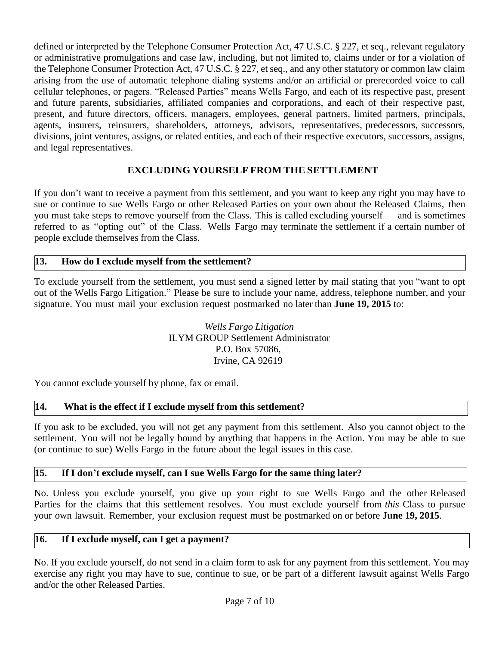defined or interpreted by the Telephone Consumer Protection Act, 47 U.S.C. § 227, et seq., relevant regulatory or administrative promulgations and case law, including, but not limited to, claims under or for a violation of the Telephone Consumer Protection Act, 47 U.S.C. § 227, et seq., and any other statutory or common law claim arising from the use of automatic telephone dialing systems and/or an artificial or prerecorded voice to call cellular telephones, or pagers. "Released Parties" means Wells Fargo, and each of its respective past, present and future parents, subsidiaries, affiliated companies and corporations, and each of their respective past, present, and future directors, officers, managers, employees, general partners, limited partners, principals, agents, insurers, reinsurers, shareholders, attorneys, advisors, representatives, predecessors, successors, divisions, joint ventures, assigns, or related entities, and each of their respective executors, successors, assigns, and legal representatives.

# **EXCLUDING YOURSELF FROM THE SETTLEMENT**

If you don't want to receive a payment from this settlement, and you want to keep any right you may have to sue or continue to sue Wells Fargo or other Released Parties on your own about the Released Claims, then you must take steps to remove yourself from the Class. This is called excluding yourself — and is sometimes referred to as "opting out" of the Class. Wells Fargo may terminate the settlement if a certain number of people exclude themselves from the Class.

## **13. How do I exclude myself from the settlement?**

To exclude yourself from the settlement, you must send a signed letter by mail stating that you "want to opt out of the Wells Fargo Litigation." Please be sure to include your name, address, telephone number, and your signature. You must mail your exclusion request postmarked no later than **June 19, 2015** to:

> *Wells Fargo Litigation* ILYM GROUP Settlement Administrator P.O. Box 57086, Irvine, CA 92619

You cannot exclude yourself by phone, fax or email.

## **14. What is the effect if I exclude myself from this settlement?**

If you ask to be excluded, you will not get any payment from this settlement. Also you cannot object to the settlement. You will not be legally bound by anything that happens in the Action. You may be able to sue (or continue to sue) Wells Fargo in the future about the legal issues in this case.

## **15. If I don't exclude myself, can I sue Wells Fargo for the same thing later?**

No. Unless you exclude yourself, you give up your right to sue Wells Fargo and the other Released Parties for the claims that this settlement resolves. You must exclude yourself from *this* Class to pursue your own lawsuit. Remember, your exclusion request must be postmarked on or before **June 19, 2015**.

## **16. If I exclude myself, can I get a payment?**

No. If you exclude yourself, do not send in a claim form to ask for any payment from this settlement. You may exercise any right you may have to sue, continue to sue, or be part of a different lawsuit against Wells Fargo and/or the other Released Parties.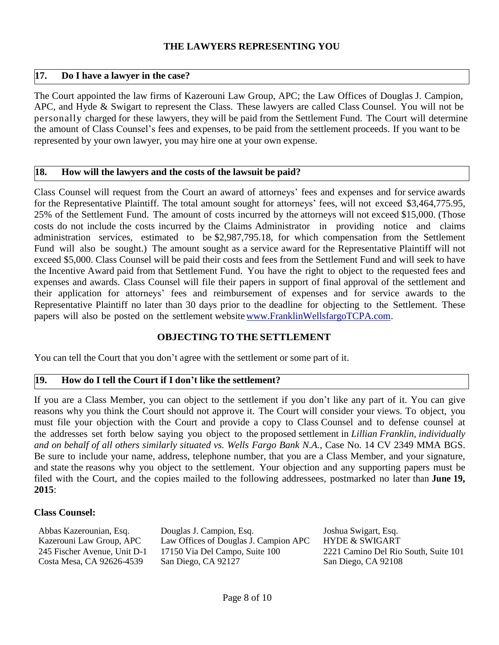#### **THE LAWYERS REPRESENTING YOU**

#### **17. Do I have a lawyer in the case?**

The Court appointed the law firms of Kazerouni Law Group, APC; the Law Offices of Douglas J. Campion, APC, and Hyde & Swigart to represent the Class. These lawyers are called Class Counsel. You will not be personally charged for these lawyers, they will be paid from the Settlement Fund. The Court will determine the amount of Class Counsel's fees and expenses, to be paid from the settlement proceeds. If you want to be represented by your own lawyer, you may hire one at your own expense.

#### **18. How will the lawyers and the costs of the lawsuit be paid?**

Class Counsel will request from the Court an award of attorneys' fees and expenses and for service awards for the Representative Plaintiff. The total amount sought for attorneys' fees, will not exceed \$3,464,775.95, 25% of the Settlement Fund. The amount of costs incurred by the attorneys will not exceed \$15,000. (Those costs do not include the costs incurred by the Claims Administrator in providing notice and claims administration services, estimated to be \$2,987,795.18, for which compensation from the Settlement Fund will also be sought.) The amount sought as a service award for the Representative Plaintiff will not exceed \$5,000. Class Counsel will be paid their costs and fees from the Settlement Fund and will seek to have the Incentive Award paid from that Settlement Fund. You have the right to object to the requested fees and expenses and awards. Class Counsel will file their papers in support of final approval of the settlement and their application for attorneys' fees and reimbursement of expenses and for service awards to the Representative Plaintiff no later than 30 days prior to the deadline for objecting to the Settlement. These papers will also be posted on the settlement websit[ewww.FranklinWellsfargoTCPA.com.](http://www.franklinwellsfargotcpa.com/)

## **OBJECTING TO THE SETTLEMENT**

You can tell the Court that you don't agree with the settlement or some part of it.

## **19. How do I tell the Court if I don't like the settlement?**

If you are a Class Member, you can object to the settlement if you don't like any part of it. You can give reasons why you think the Court should not approve it. The Court will consider your views. To object, you must file your objection with the Court and provide a copy to Class Counsel and to defense counsel at the addresses set forth below saying you object to the proposed settlement in *Lillian Franklin, individually and on behalf of all others similarly situated vs. Wells Fargo Bank N.A.*, Case No. 14 CV 2349 MMA BGS. Be sure to include your name, address, telephone number, that you are a Class Member, and your signature, and state the reasons why you object to the settlement. Your objection and any supporting papers must be filed with the Court, and the copies mailed to the following addressees, postmarked no later than **June 19, 2015**:

#### **Class Counsel:**

| Abbas Kazerounian, Esq.      | Douglas J. Campion, Esq.              | Joshua Swigart, Esq.                 |
|------------------------------|---------------------------------------|--------------------------------------|
| Kazerouni Law Group, APC     | Law Offices of Douglas J. Campion APC | <b>HYDE &amp; SWIGART</b>            |
| 245 Fischer Avenue, Unit D-1 | 17150 Via Del Campo, Suite 100        | 2221 Camino Del Rio South, Suite 101 |
| Costa Mesa, CA 92626-4539    | San Diego, CA 92127                   | San Diego, CA 92108                  |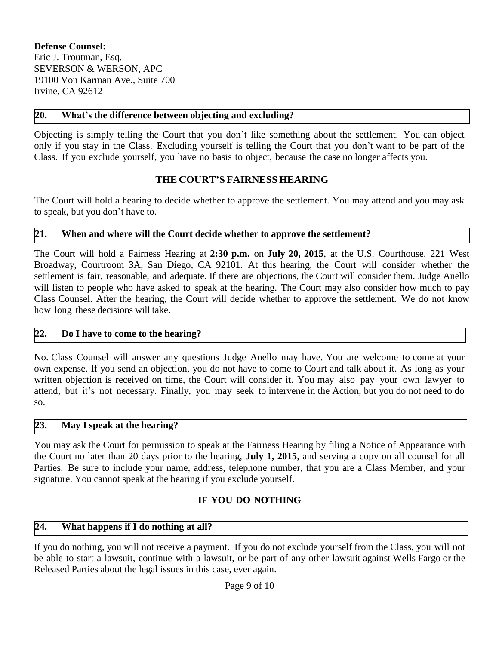**Defense Counsel:**  Eric J. Troutman, Esq. SEVERSON & WERSON, APC 19100 Von Karman Ave., Suite 700 Irvine, CA 92612

#### **20. What's the difference between objecting and excluding?**

Objecting is simply telling the Court that you don't like something about the settlement. You can object only if you stay in the Class. Excluding yourself is telling the Court that you don't want to be part of the Class. If you exclude yourself, you have no basis to object, because the case no longer affects you.

#### **THE COURT'S FAIRNESS HEARING**

The Court will hold a hearing to decide whether to approve the settlement. You may attend and you may ask to speak, but you don't have to.

#### **21. When and where will the Court decide whether to approve the settlement?**

The Court will hold a Fairness Hearing at **2:30 p.m.** on **July 20, 2015**, at the U.S. Courthouse, 221 West Broadway, Courtroom 3A, San Diego, CA 92101. At this hearing, the Court will consider whether the settlement is fair, reasonable, and adequate. If there are objections, the Court will consider them. Judge Anello will listen to people who have asked to speak at the hearing. The Court may also consider how much to pay Class Counsel. After the hearing, the Court will decide whether to approve the settlement. We do not know how long these decisions will take.

#### **22. Do I have to come to the hearing?**

No. Class Counsel will answer any questions Judge Anello may have. You are welcome to come at your own expense. If you send an objection, you do not have to come to Court and talk about it. As long as your written objection is received on time, the Court will consider it. You may also pay your own lawyer to attend, but it's not necessary. Finally, you may seek to intervene in the Action, but you do not need to do so.

# **23. May I speak at the hearing?**

You may ask the Court for permission to speak at the Fairness Hearing by filing a Notice of Appearance with the Court no later than 20 days prior to the hearing, **July 1, 2015**, and serving a copy on all counsel for all Parties. Be sure to include your name, address, telephone number, that you are a Class Member, and your signature. You cannot speak at the hearing if you exclude yourself.

## **IF YOU DO NOTHING**

#### **24. What happens if I do nothing at all?**

If you do nothing, you will not receive a payment. If you do not exclude yourself from the Class, you will not be able to start a lawsuit, continue with a lawsuit, or be part of any other lawsuit against Wells Fargo or the Released Parties about the legal issues in this case, ever again.